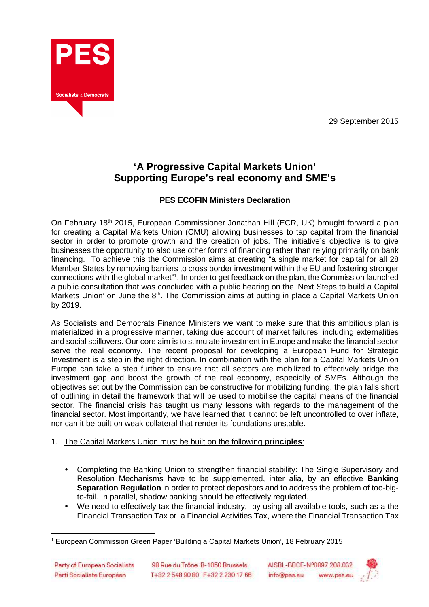29 September 2015



# **'A Progressive Capital Markets Union' Supporting Europe's real economy and SME's**

## **PES ECOFIN Ministers Declaration**

On February 18th 2015, European Commissioner Jonathan Hill (ECR, UK) brought forward a plan for creating a Capital Markets Union (CMU) allowing businesses to tap capital from the financial sector in order to promote growth and the creation of jobs. The initiative's objective is to give businesses the opportunity to also use other forms of financing rather than relying primarily on bank financing. To achieve this the Commission aims at creating "a single market for capital for all 28 Member States by removing barriers to cross border investment within the EU and fostering stronger connections with the global market"<sup>1</sup>. In order to get feedback on the plan, the Commission launched a public consultation that was concluded with a public hearing on the 'Next Steps to build a Capital Markets Union' on June the 8<sup>th</sup>. The Commission aims at putting in place a Capital Markets Union by 2019.

As Socialists and Democrats Finance Ministers we want to make sure that this ambitious plan is materialized in a progressive manner, taking due account of market failures, including externalities and social spillovers. Our core aim is to stimulate investment in Europe and make the financial sector serve the real economy. The recent proposal for developing a European Fund for Strategic Investment is a step in the right direction. In combination with the plan for a Capital Markets Union Europe can take a step further to ensure that all sectors are mobilized to effectively bridge the investment gap and boost the growth of the real economy, especially of SMEs. Although the objectives set out by the Commission can be constructive for mobilizing funding, the plan falls short of outlining in detail the framework that will be used to mobilise the capital means of the financial sector. The financial crisis has taught us many lessons with regards to the management of the financial sector. Most importantly, we have learned that it cannot be left uncontrolled to over inflate, nor can it be built on weak collateral that render its foundations unstable.

## 1. The Capital Markets Union must be built on the following **principles**:

- Completing the Banking Union to strengthen financial stability: The Single Supervisory and Resolution Mechanisms have to be supplemented, inter alia, by an effective **Banking Separation Regulation** in order to protect depositors and to address the problem of too-bigto-fail. In parallel, shadow banking should be effectively regulated.
- We need to effectively tax the financial industry, by using all available tools, such as a the Financial Transaction Tax or a Financial Activities Tax, where the Financial Transaction Tax



 $\overline{a}$ 1 European Commission Green Paper 'Building a Capital Markets Union', 18 February 2015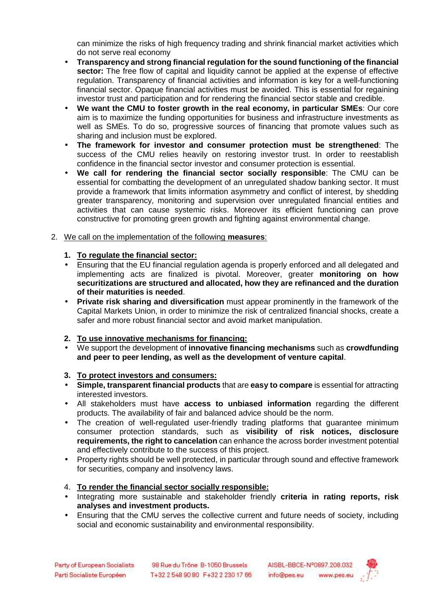can minimize the risks of high frequency trading and shrink financial market activities which do not serve real economy

- **Transparency and strong financial regulation for the sound functioning of the financial sector:** The free flow of capital and liquidity cannot be applied at the expense of effective regulation. Transparency of financial activities and information is key for a well-functioning financial sector. Opaque financial activities must be avoided. This is essential for regaining investor trust and participation and for rendering the financial sector stable and credible.
- **We want the CMU to foster growth in the real economy, in particular SMEs**: Our core aim is to maximize the funding opportunities for business and infrastructure investments as well as SMEs. To do so, progressive sources of financing that promote values such as sharing and inclusion must be explored.
- **The framework for investor and consumer protection must be strengthened**: The success of the CMU relies heavily on restoring investor trust. In order to reestablish confidence in the financial sector investor and consumer protection is essential.
- **We call for rendering the financial sector socially responsible**: The CMU can be essential for combatting the development of an unregulated shadow banking sector. It must provide a framework that limits information asymmetry and conflict of interest, by shedding greater transparency, monitoring and supervision over unregulated financial entities and activities that can cause systemic risks. Moreover its efficient functioning can prove constructive for promoting green growth and fighting against environmental change.
- 2. We call on the implementation of the following **measures**:

### **1. To regulate the financial sector:**

- Ensuring that the EU financial regulation agenda is properly enforced and all delegated and implementing acts are finalized is pivotal. Moreover, greater **monitoring on how securitizations are structured and allocated, how they are refinanced and the duration of their maturities is needed**.
- **Private risk sharing and diversification** must appear prominently in the framework of the Capital Markets Union, in order to minimize the risk of centralized financial shocks, create a safer and more robust financial sector and avoid market manipulation.
- **2. To use innovative mechanisms for financing:**
- We support the development of **innovative financing mechanisms** such as **crowdfunding and peer to peer lending, as well as the development of venture capital**.

### **3. To protect investors and consumers:**

- **Simple, transparent financial products** that are **easy to compare** is essential for attracting interested investors.
- All stakeholders must have **access to unbiased information** regarding the different products. The availability of fair and balanced advice should be the norm.
- The creation of well-regulated user-friendly trading platforms that guarantee minimum consumer protection standards, such as **visibility of risk notices, disclosure requirements, the right to cancelation** can enhance the across border investment potential and effectively contribute to the success of this project.
- Property rights should be well protected, in particular through sound and effective framework for securities, company and insolvency laws.

### 4. **To render the financial sector socially responsible:**

- Integrating more sustainable and stakeholder friendly **criteria in rating reports, risk analyses and investment products.**
- Ensuring that the CMU serves the collective current and future needs of society, including social and economic sustainability and environmental responsibility.